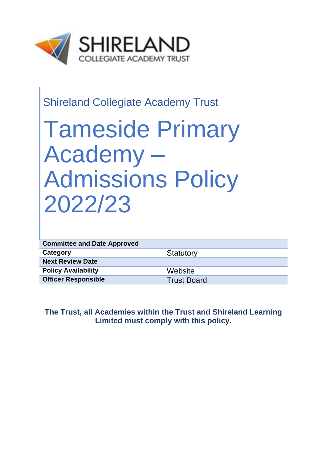

# Shireland Collegiate Academy Trust

# Tameside Primary Academy – Admissions Policy 2022/23

| <b>Committee and Date Approved</b> |                    |
|------------------------------------|--------------------|
| Category                           | Statutory          |
| <b>Next Review Date</b>            |                    |
| <b>Policy Availability</b>         | Website            |
| <b>Officer Responsible</b>         | <b>Trust Board</b> |

**The Trust, all Academies within the Trust and Shireland Learning Limited must comply with this policy.**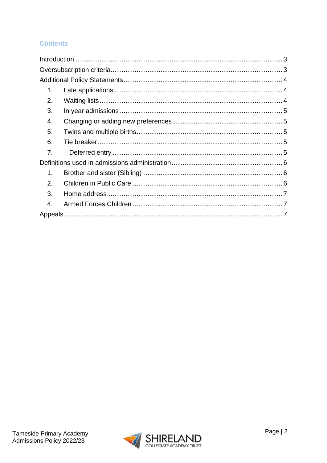### **Contents**

| 1. |  |  |
|----|--|--|
| 2. |  |  |
| 3. |  |  |
| 4. |  |  |
| 5. |  |  |
| 6. |  |  |
| 7. |  |  |
|    |  |  |
| 1. |  |  |
| 2. |  |  |
| 3. |  |  |
| 4. |  |  |
|    |  |  |

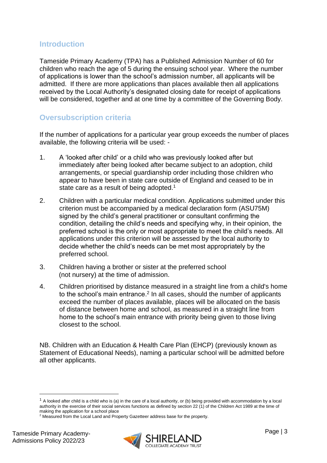#### <span id="page-2-0"></span>**Introduction**

Tameside Primary Academy (TPA) has a Published Admission Number of 60 for children who reach the age of 5 during the ensuing school year. Where the number of applications is lower than the school's admission number, all applicants will be admitted. If there are more applications than places available then all applications received by the Local Authority's designated closing date for receipt of applications will be considered, together and at one time by a committee of the Governing Body.

## <span id="page-2-1"></span>**Oversubscription criteria**

If the number of applications for a particular year group exceeds the number of places available, the following criteria will be used: -

- 1. A 'looked after child' or a child who was previously looked after but immediately after being looked after became subject to an adoption, child arrangements, or special guardianship order including those children who appear to have been in state care outside of England and ceased to be in state care as a result of being adopted.<sup>1</sup>
- 2. Children with a particular medical condition. Applications submitted under this criterion must be accompanied by a medical declaration form (ASU75M) signed by the child's general practitioner or consultant confirming the condition, detailing the child's needs and specifying why, in their opinion, the preferred school is the only or most appropriate to meet the child's needs. All applications under this criterion will be assessed by the local authority to decide whether the child's needs can be met most appropriately by the preferred school.
- 3. Children having a brother or sister at the preferred school (not nursery) at the time of admission.
- 4. Children prioritised by distance measured in a straight line from a child's home to the school's main entrance.<sup>2</sup> In all cases, should the number of applicants exceed the number of places available, places will be allocated on the basis of distance between home and school, as measured in a straight line from home to the school's main entrance with priority being given to those living closest to the school.

NB. Children with an Education & Health Care Plan (EHCP) (previously known as Statement of Educational Needs), naming a particular school will be admitted before all other applicants.



 $1$  A looked after child is a child who is (a) in the care of a local authority, or (b) being provided with accommodation by a local authority in the exercise of their social services functions as defined by section 22 (1) of the Children Act 1989 at the time of making the application for a school place

<sup>2</sup> Measured from the Local Land and Property Gazetteer address base for the property.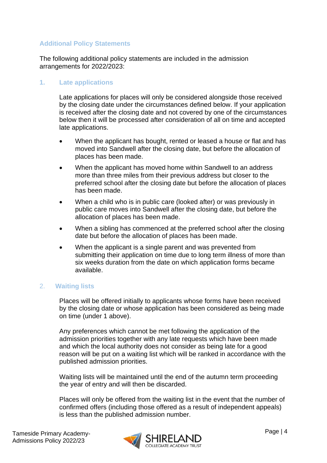#### <span id="page-3-0"></span>**Additional Policy Statements**

The following additional policy statements are included in the admission arrangements for 2022/2023:

#### <span id="page-3-1"></span>**1. Late applications**

Late applications for places will only be considered alongside those received by the closing date under the circumstances defined below. If your application is received after the closing date and not covered by one of the circumstances below then it will be processed after consideration of all on time and accepted late applications.

- When the applicant has bought, rented or leased a house or flat and has moved into Sandwell after the closing date, but before the allocation of places has been made.
- When the applicant has moved home within Sandwell to an address more than three miles from their previous address but closer to the preferred school after the closing date but before the allocation of places has been made.
- When a child who is in public care (looked after) or was previously in public care moves into Sandwell after the closing date, but before the allocation of places has been made.
- When a sibling has commenced at the preferred school after the closing date but before the allocation of places has been made.
- When the applicant is a single parent and was prevented from submitting their application on time due to long term illness of more than six weeks duration from the date on which application forms became available.

#### <span id="page-3-2"></span>2. **Waiting lists**

Places will be offered initially to applicants whose forms have been received by the closing date or whose application has been considered as being made on time (under 1 above).

Any preferences which cannot be met following the application of the admission priorities together with any late requests which have been made and which the local authority does not consider as being late for a good reason will be put on a waiting list which will be ranked in accordance with the published admission priorities.

Waiting lists will be maintained until the end of the autumn term proceeding the year of entry and will then be discarded.

Places will only be offered from the waiting list in the event that the number of confirmed offers (including those offered as a result of independent appeals) is less than the published admission number.

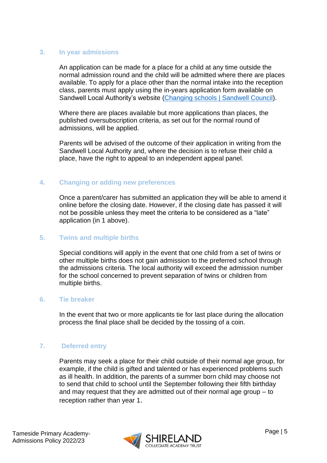#### <span id="page-4-0"></span>**3. In year admissions**

An application can be made for a place for a child at any time outside the normal admission round and the child will be admitted where there are places available. To apply for a place other than the normal intake into the reception class, parents must apply using the in-years application form available on Sandwell Local Authority's website [\(Changing schools | Sandwell Council\)](https://www.sandwell.gov.uk/info/200303/school_admissions/2053/changing_schools).

Where there are places available but more applications than places, the published oversubscription criteria, as set out for the normal round of admissions, will be applied.

Parents will be advised of the outcome of their application in writing from the Sandwell Local Authority and, where the decision is to refuse their child a place, have the right to appeal to an independent appeal panel.

#### <span id="page-4-1"></span>**4. Changing or adding new preferences**

Once a parent/carer has submitted an application they will be able to amend it online before the closing date. However, if the closing date has passed it will not be possible unless they meet the criteria to be considered as a "late" application (in 1 above).

#### <span id="page-4-2"></span>**5. Twins and multiple births**

Special conditions will apply in the event that one child from a set of twins or other multiple births does not gain admission to the preferred school through the admissions criteria. The local authority will exceed the admission number for the school concerned to prevent separation of twins or children from multiple births.

#### <span id="page-4-3"></span>**6. Tie breaker**

In the event that two or more applicants tie for last place during the allocation process the final place shall be decided by the tossing of a coin.

#### <span id="page-4-4"></span>**7. Deferred entry**

Parents may seek a place for their child outside of their normal age group, for example, if the child is gifted and talented or has experienced problems such as ill health. In addition, the parents of a summer born child may choose not to send that child to school until the September following their fifth birthday and may request that they are admitted out of their normal age group – to reception rather than year 1.

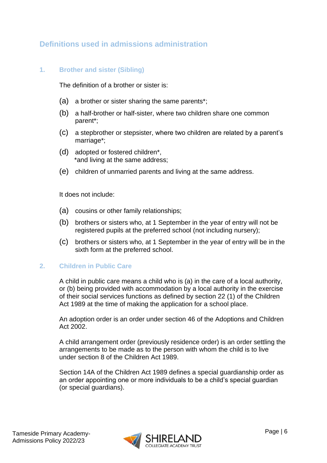# <span id="page-5-0"></span>**Definitions used in admissions administration**

#### <span id="page-5-1"></span>**1. Brother and sister (Sibling)**

The definition of a brother or sister is:

- (a) a brother or sister sharing the same parents\*;
- (b) a half-brother or half-sister, where two children share one common parent\*;
- (c) a stepbrother or stepsister, where two children are related by a parent's marriage\*;
- (d) adopted or fostered children\*, \*and living at the same address;
- (e) children of unmarried parents and living at the same address.

It does not include:

- (a) cousins or other family relationships;
- (b) brothers or sisters who, at 1 September in the year of entry will not be registered pupils at the preferred school (not including nursery);
- (c) brothers or sisters who, at 1 September in the year of entry will be in the sixth form at the preferred school.

#### <span id="page-5-2"></span>**2. Children in Public Care**

A child in public care means a child who is (a) in the care of a local authority, or (b) being provided with accommodation by a local authority in the exercise of their social services functions as defined by section 22 (1) of the Children Act 1989 at the time of making the application for a school place.

An adoption order is an order under section 46 of the Adoptions and Children Act 2002.

A child arrangement order (previously residence order) is an order settling the arrangements to be made as to the person with whom the child is to live under section 8 of the Children Act 1989.

Section 14A of the Children Act 1989 defines a special guardianship order as an order appointing one or more individuals to be a child's special guardian (or special guardians).

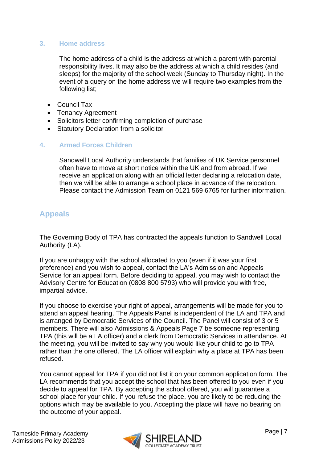#### <span id="page-6-0"></span>**3. Home address**

The home address of a child is the address at which a parent with parental responsibility lives. It may also be the address at which a child resides (and sleeps) for the majority of the school week (Sunday to Thursday night). In the event of a query on the home address we will require two examples from the following list;

- Council Tax
- Tenancy Agreement
- Solicitors letter confirming completion of purchase
- Statutory Declaration from a solicitor

#### <span id="page-6-1"></span>**4. Armed Forces Children**

Sandwell Local Authority understands that families of UK Service personnel often have to move at short notice within the UK and from abroad. If we receive an application along with an official letter declaring a relocation date, then we will be able to arrange a school place in advance of the relocation. Please contact the Admission Team on 0121 569 6765 for further information.

# <span id="page-6-2"></span>**Appeals**

The Governing Body of TPA has contracted the appeals function to Sandwell Local Authority (LA).

If you are unhappy with the school allocated to you (even if it was your first preference) and you wish to appeal, contact the LA's Admission and Appeals Service for an appeal form. Before deciding to appeal, you may wish to contact the Advisory Centre for Education (0808 800 5793) who will provide you with free, impartial advice.

If you choose to exercise your right of appeal, arrangements will be made for you to attend an appeal hearing. The Appeals Panel is independent of the LA and TPA and is arranged by Democratic Services of the Council. The Panel will consist of 3 or 5 members. There will also Admissions & Appeals Page 7 be someone representing TPA (this will be a LA officer) and a clerk from Democratic Services in attendance. At the meeting, you will be invited to say why you would like your child to go to TPA rather than the one offered. The LA officer will explain why a place at TPA has been refused.

You cannot appeal for TPA if you did not list it on your common application form. The LA recommends that you accept the school that has been offered to you even if you decide to appeal for TPA. By accepting the school offered, you will guarantee a school place for your child. If you refuse the place, you are likely to be reducing the options which may be available to you. Accepting the place will have no bearing on the outcome of your appeal.